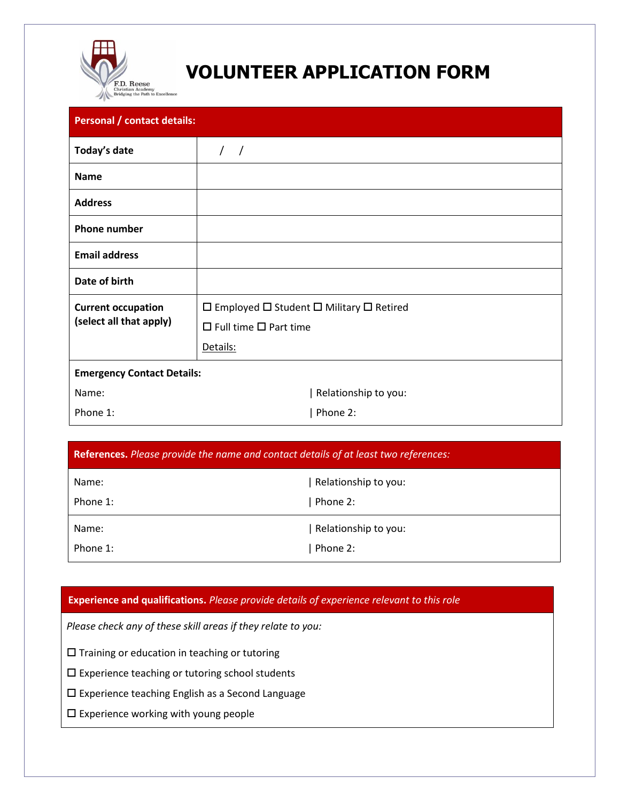

## **VOLUNTEER APPLICATION FORM**

| <b>Personal / contact details:</b>                   |                                                                           |  |
|------------------------------------------------------|---------------------------------------------------------------------------|--|
| Today's date                                         | $\prime$<br>$\sqrt{ }$                                                    |  |
| <b>Name</b>                                          |                                                                           |  |
| <b>Address</b>                                       |                                                                           |  |
| <b>Phone number</b>                                  |                                                                           |  |
| <b>Email address</b>                                 |                                                                           |  |
| Date of birth                                        |                                                                           |  |
| <b>Current occupation</b><br>(select all that apply) | $\square$ Employed $\square$ Student $\square$ Military $\square$ Retired |  |
|                                                      | $\Box$ Full time $\Box$ Part time                                         |  |
|                                                      | Details:                                                                  |  |
| <b>Emergency Contact Details:</b>                    |                                                                           |  |
| Name:                                                | Relationship to you:                                                      |  |
| Phone 1:                                             | Phone 2:                                                                  |  |

| References. Please provide the name and contact details of at least two references: |                      |  |
|-------------------------------------------------------------------------------------|----------------------|--|
| Name:                                                                               | Relationship to you: |  |
| Phone 1:                                                                            | Phone 2:             |  |
| Name:                                                                               | Relationship to you: |  |
| Phone 1:                                                                            | Phone 2:             |  |

## **Experience and qualifications.** *Please provide details of experience relevant to this role*

*Please check any of these skill areas if they relate to you:*

 $\square$  Training or education in teaching or tutoring

 $\square$  Experience teaching or tutoring school students

Experience teaching English as a Second Language

Experience working with young people